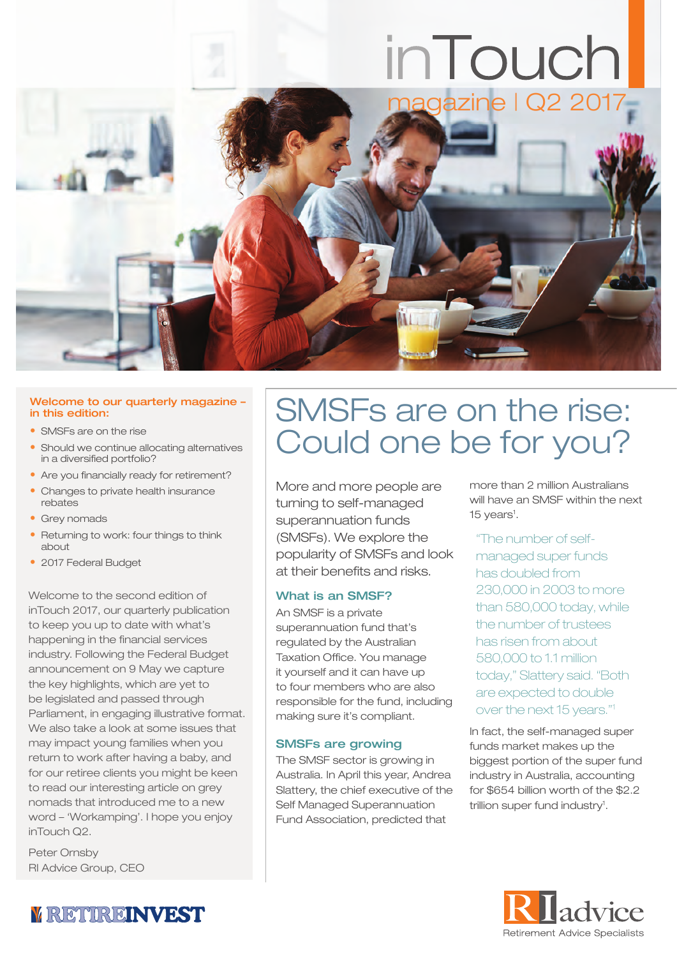# inTouch



#### Welcome to our quarterly magazine – in this edition:

- SMSEs are on the rise
- Should we continue allocating alternatives in a diversified portfolio?
- Are you financially ready for retirement?
- Changes to private health insurance rebates
- Grey nomads
- Returning to work: four things to think about
- 2017 Federal Budget

Welcome to the second edition of inTouch 2017, our quarterly publication to keep you up to date with what's happening in the financial services industry. Following the Federal Budget announcement on 9 May we capture the key highlights, which are yet to be legislated and passed through Parliament, in engaging illustrative format. We also take a look at some issues that may impact young families when you return to work after having a baby, and for our retiree clients you might be keen to read our interesting article on grey nomads that introduced me to a new word – 'Workamping'. I hope you enjoy inTouch Q2.

Peter Ornsby RI Advice Group, CEO

## SMSFs are on the rise: Could one be for you?

More and more people are turning to self-managed superannuation funds (SMSFs). We explore the popularity of SMSFs and look at their benefits and risks.

#### What is an SMSF?

An SMSF is a private superannuation fund that's regulated by the Australian Taxation Office. You manage it yourself and it can have up to four members who are also responsible for the fund, including making sure it's compliant.

#### SMSFs are growing

The SMSF sector is growing in Australia. In April this year, Andrea Slattery, the chief executive of the Self Managed Superannuation Fund Association, predicted that

more than 2 million Australians will have an SMSF within the next 15 years<sup>1</sup>.

#### "The number of self-

managed super funds has doubled from 230,000 in 2003 to more than 580,000 today, while the number of trustees has risen from about 580,000 to 1.1 million today," Slattery said. "Both are expected to double over the next 15 years."1

In fact, the self-managed super funds market makes up the biggest portion of the super fund industry in Australia, accounting for \$654 billion worth of the \$2.2 trillion super fund industry<sup>1</sup>.



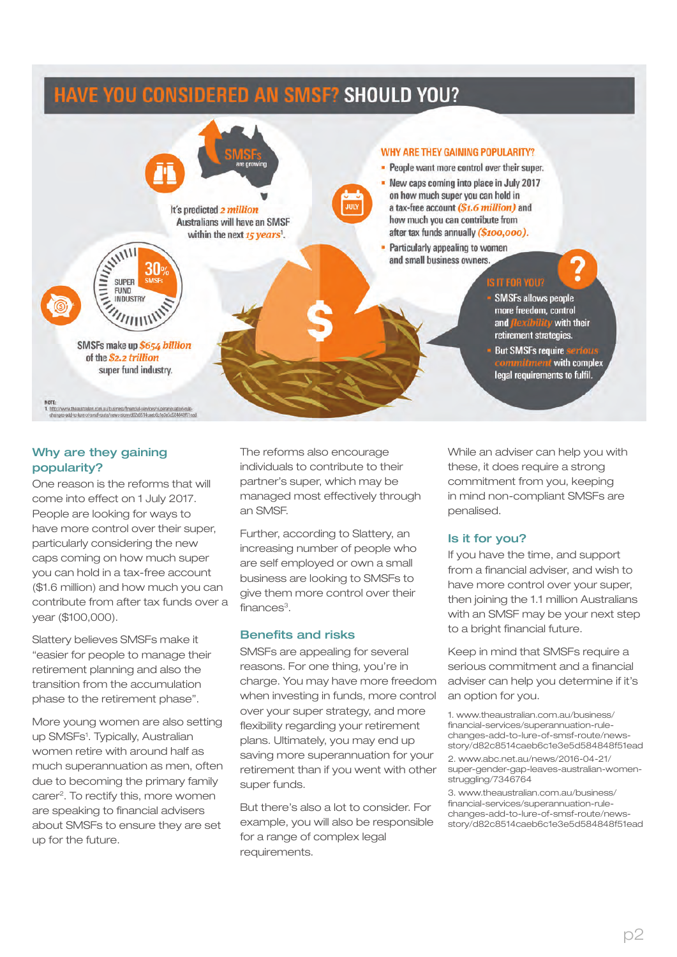## HAVE YOU CONSIDERED AN SMSF? SHOULD YOU?



#### Why are they gaining popularity?

One reason is the reforms that will come into effect on 1 July 2017. People are looking for ways to have more control over their super, particularly considering the new caps coming on how much super you can hold in a tax-free account (\$1.6 million) and how much you can contribute from after tax funds over a year (\$100,000).

Slattery believes SMSFs make it "easier for people to manage their retirement planning and also the transition from the accumulation phase to the retirement phase".

More young women are also setting up SMSFs<sup>1</sup>. Typically, Australian women retire with around half as much superannuation as men, often due to becoming the primary family carer<sup>2</sup>. To rectify this, more women are speaking to financial advisers about SMSFs to ensure they are set up for the future.

The reforms also encourage individuals to contribute to their partner's super, which may be managed most effectively through an SMSF.

Further, according to Slattery, an increasing number of people who are self employed or own a small business are looking to SMSFs to give them more control over their finances<sup>3</sup>.

#### Benefits and risks

SMSFs are appealing for several reasons. For one thing, you're in charge. You may have more freedom when investing in funds, more control over your super strategy, and more flexibility regarding your retirement plans. Ultimately, you may end up saving more superannuation for your retirement than if you went with other super funds.

But there's also a lot to consider. For example, you will also be responsible for a range of complex legal requirements.

While an adviser can help you with these, it does require a strong commitment from you, keeping in mind non-compliant SMSFs are penalised.

#### Is it for you?

If you have the time, and support from a financial adviser, and wish to have more control over your super, then joining the 1.1 million Australians with an SMSF may be your next step to a bright financial future.

Keep in mind that SMSFs require a serious commitment and a financial adviser can help you determine if it's an option for you.

1. www.theaustralian.com.au/business/ financial-services/superannuation-rulechanges-add-to-lure-of-smsf-route/newsstory/d82c8514caeb6c1e3e5d584848f51ead

2. www.abc.net.au/news/2016-04-21/ super-gender-gap-leaves-australian-womenstruggling/7346764

3. www.theaustralian.com.au/business/ financial-services/superannuation-rulechanges-add-to-lure-of-smsf-route/newsstory/d82c8514caeb6c1e3e5d584848f51ead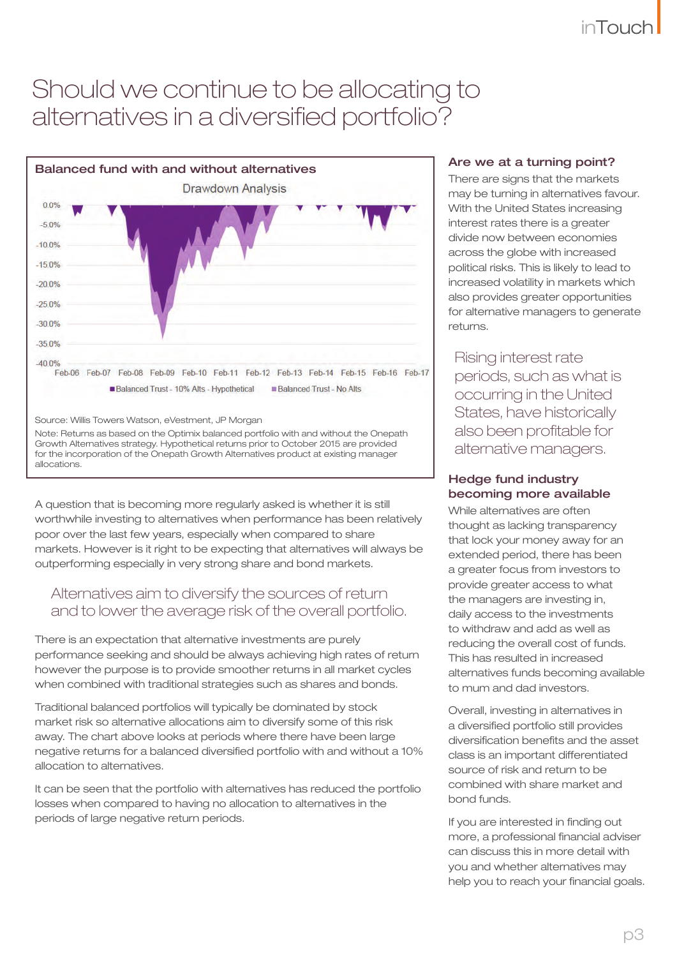## Should we continue to be allocating to alternatives in a diversified portfolio?



A question that is becoming more regularly asked is whether it is still worthwhile investing to alternatives when performance has been relatively poor over the last few years, especially when compared to share markets. However is it right to be expecting that alternatives will always be outperforming especially in very strong share and bond markets.

#### Alternatives aim to diversify the sources of return and to lower the average risk of the overall portfolio.

There is an expectation that alternative investments are purely performance seeking and should be always achieving high rates of return however the purpose is to provide smoother returns in all market cycles when combined with traditional strategies such as shares and bonds.

Traditional balanced portfolios will typically be dominated by stock market risk so alternative allocations aim to diversify some of this risk away. The chart above looks at periods where there have been large negative returns for a balanced diversified portfolio with and without a 10% allocation to alternatives.

It can be seen that the portfolio with alternatives has reduced the portfolio losses when compared to having no allocation to alternatives in the periods of large negative return periods.

#### Are we at a turning point?

There are signs that the markets may be turning in alternatives favour. With the United States increasing interest rates there is a greater divide now between economies across the globe with increased political risks. This is likely to lead to increased volatility in markets which also provides greater opportunities for alternative managers to generate returns.

Rising interest rate periods, such as what is occurring in the United States, have historically also been profitable for alternative managers.

#### Hedge fund industry becoming more available

While alternatives are often thought as lacking transparency that lock your money away for an extended period, there has been a greater focus from investors to provide greater access to what the managers are investing in, daily access to the investments to withdraw and add as well as reducing the overall cost of funds. This has resulted in increased alternatives funds becoming available to mum and dad investors.

Overall, investing in alternatives in a diversified portfolio still provides diversification benefits and the asset class is an important differentiated source of risk and return to be combined with share market and bond funds.

If you are interested in finding out more, a professional financial adviser can discuss this in more detail with you and whether alternatives may help you to reach your financial goals.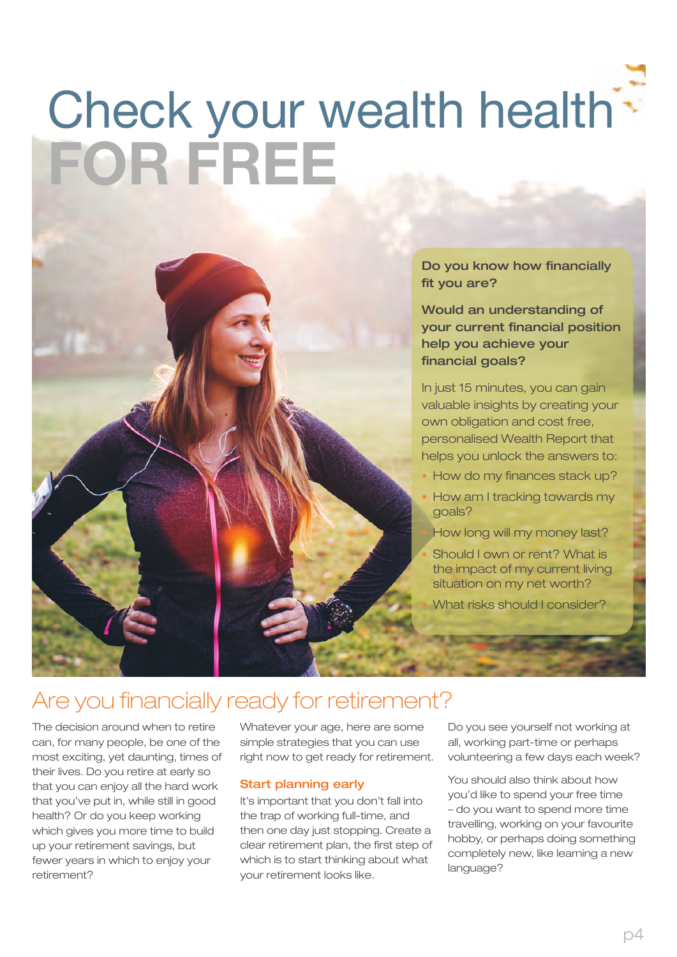## Check your wealth health FOR FREE



Do you know how financially fit you are?

Would an understanding of your current financial position help you achieve your financial goals?

In just 15 minutes, you can gain valuable insights by creating your own obligation and cost free, personalised Wealth Report that helps you unlock the answers to:

- How do my finances stack up?
- How am I tracking towards my goals?
- How long will my money last?
- Should I own or rent? What is the impact of my current living situation on my net worth?
- What risks should I consider?

## Are you financially ready for retirement?

The decision around when to retire can, for many people, be one of the most exciting, yet daunting, times of their lives. Do you retire at early so that you can enjoy all the hard work that you've put in, while still in good health? Or do you keep working which gives you more time to build up your retirement savings, but fewer years in which to enjoy your retirement?

Whatever your age, here are some simple strategies that you can use right now to get ready for retirement.

#### Start planning early

It's important that you don't fall into the trap of working full-time, and then one day just stopping. Create a clear retirement plan, the first step of which is to start thinking about what your retirement looks like.

Do you see yourself not working at all, working part-time or perhaps volunteering a few days each week?

You should also think about how you'd like to spend your free time – do you want to spend more time travelling, working on your favourite hobby, or perhaps doing something completely new, like learning a new language?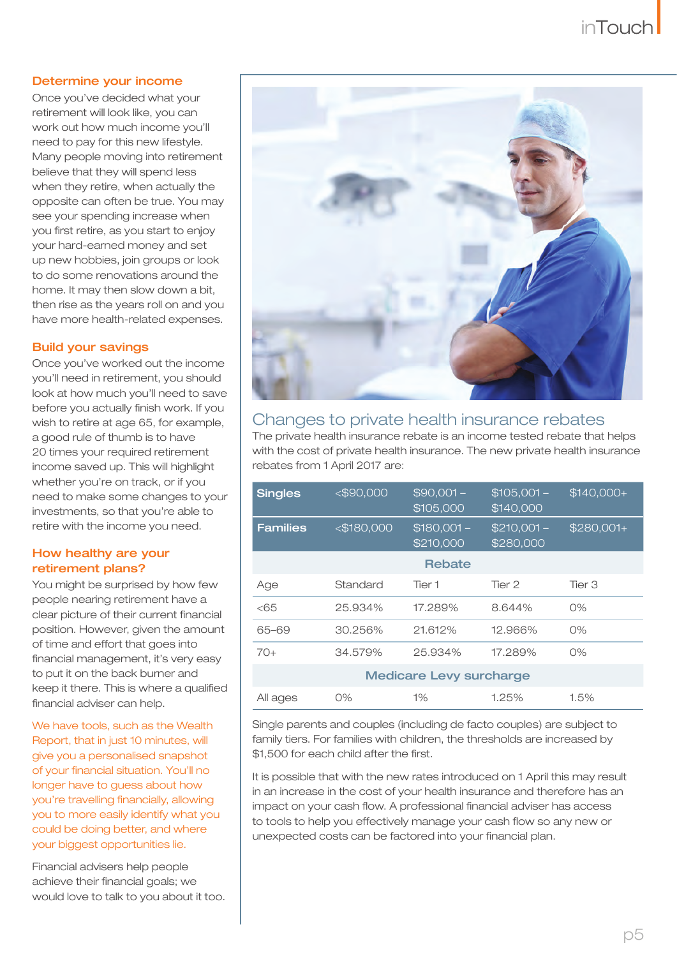#### Determine your income

Once you've decided what your retirement will look like, you can work out how much income you'll need to pay for this new lifestyle. Many people moving into retirement believe that they will spend less when they retire, when actually the opposite can often be true. You may see your spending increase when you first retire, as you start to enjoy your hard-earned money and set up new hobbies, join groups or look to do some renovations around the home. It may then slow down a bit, then rise as the years roll on and you have more health-related expenses.

#### Build your savings

Once you've worked out the income you'll need in retirement, you should look at how much you'll need to save before you actually finish work. If you wish to retire at age 65, for example, a good rule of thumb is to have 20 times your required retirement income saved up. This will highlight whether you're on track, or if you need to make some changes to your investments, so that you're able to retire with the income you need.

#### How healthy are your retirement plans?

You might be surprised by how few people nearing retirement have a clear picture of their current financial position. However, given the amount of time and effort that goes into financial management, it's very easy to put it on the back burner and keep it there. This is where a qualified financial adviser can help.

We have tools, such as the Wealth Report, that in just 10 minutes, will give you a personalised snapshot of your financial situation. You'll no longer have to guess about how you're travelling financially, allowing you to more easily identify what you could be doing better, and where your biggest opportunities lie.

Financial advisers help people achieve their financial goals; we would love to talk to you about it too.



#### Changes to private health insurance rebates

The private health insurance rebate is an income tested rebate that helps with the cost of private health insurance. The new private health insurance rebates from 1 April 2017 are:

| <b>Singles</b>                 | $<$ \$90,000  | $$90,001 -$<br>\$105,000  | $$105,001 -$<br>\$140,000 | $$140,000+$ |
|--------------------------------|---------------|---------------------------|---------------------------|-------------|
| <b>Families</b>                | $<$ \$180,000 | $$180,001 -$<br>\$210,000 | $$210,001 -$<br>\$280,000 | $$280,001+$ |
| Rebate                         |               |                           |                           |             |
| Age                            | Standard      | Tier 1                    | Tier 2                    | Tier 3      |
| <65                            | 25,934%       | 17.289%                   | 8.644%                    | O%          |
| 65-69                          | 30.256%       | 21.612%                   | 12.966%                   | O%          |
| $70+$                          | 34.579%       | 25.934%                   | 17.289%                   | O%          |
| <b>Medicare Levy surcharge</b> |               |                           |                           |             |
| All ages                       | 0%            | $1\%$                     | 1.25%                     | 1.5%        |

Single parents and couples (including de facto couples) are subject to family tiers. For families with children, the thresholds are increased by \$1,500 for each child after the first.

It is possible that with the new rates introduced on 1 April this may result in an increase in the cost of your health insurance and therefore has an impact on your cash flow. A professional financial adviser has access to tools to help you effectively manage your cash flow so any new or unexpected costs can be factored into your financial plan.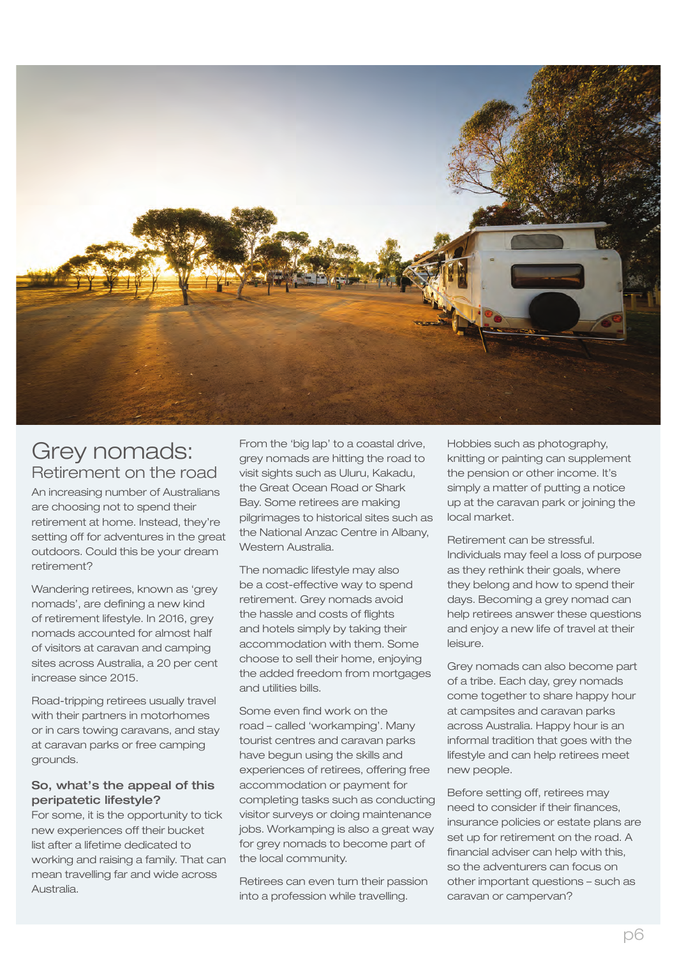

### Grey nomads: Retirement on the road

An increasing number of Australians are choosing not to spend their retirement at home. Instead, they're setting off for adventures in the great outdoors. Could this be your dream retirement?

Wandering retirees, known as 'grey nomads', are defining a new kind of retirement lifestyle. In 2016, grey nomads accounted for almost half of visitors at caravan and camping sites across Australia, a 20 per cent increase since 2015.

Road-tripping retirees usually travel with their partners in motorhomes or in cars towing caravans, and stay at caravan parks or free camping grounds.

#### So, what's the appeal of this peripatetic lifestyle?

For some, it is the opportunity to tick new experiences off their bucket list after a lifetime dedicated to working and raising a family. That can mean travelling far and wide across Australia.

From the 'big lap' to a coastal drive, grey nomads are hitting the road to visit sights such as Uluru, Kakadu, the Great Ocean Road or Shark Bay. Some retirees are making pilgrimages to historical sites such as the National Anzac Centre in Albany, Western Australia.

The nomadic lifestyle may also be a cost-effective way to spend retirement. Grey nomads avoid the hassle and costs of flights and hotels simply by taking their accommodation with them. Some choose to sell their home, enjoying the added freedom from mortgages and utilities bills.

Some even find work on the road – called 'workamping'. Many tourist centres and caravan parks have begun using the skills and experiences of retirees, offering free accommodation or payment for completing tasks such as conducting visitor surveys or doing maintenance jobs. Workamping is also a great way for grey nomads to become part of the local community.

Retirees can even turn their passion into a profession while travelling.

Hobbies such as photography, knitting or painting can supplement the pension or other income. It's simply a matter of putting a notice up at the caravan park or joining the local market.

Retirement can be stressful. Individuals may feel a loss of purpose as they rethink their goals, where they belong and how to spend their days. Becoming a grey nomad can help retirees answer these questions and enjoy a new life of travel at their leisure.

Grey nomads can also become part of a tribe. Each day, grey nomads come together to share happy hour at campsites and caravan parks across Australia. Happy hour is an informal tradition that goes with the lifestyle and can help retirees meet new people.

Before setting off, retirees may need to consider if their finances, insurance policies or estate plans are set up for retirement on the road. A financial adviser can help with this, so the adventurers can focus on other important questions – such as caravan or campervan?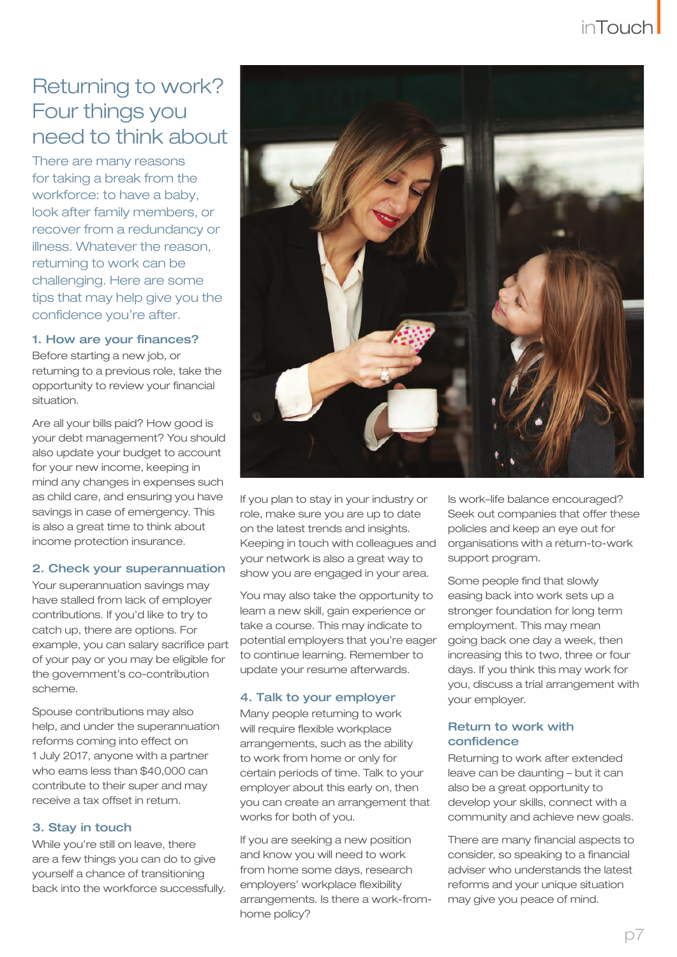## Returning to work? Four things you need to think about

There are many reasons for taking a break from the workforce: to have a baby, look after family members, or recover from a redundancy or illness. Whatever the reason, returning to work can be challenging. Here are some tips that may help give you the confidence you're after.

#### 1. How are your finances?

Before starting a new job, or returning to a previous role, take the opportunity to review your financial situation.

Are all your bills paid? How good is your debt management? You should also update your budget to account for your new income, keeping in mind any changes in expenses such as child care, and ensuring you have savings in case of emergency. This is also a great time to think about income protection insurance.

#### 2. Check your superannuation

Your superannuation savings may have stalled from lack of employer contributions. If you'd like to try to catch up, there are options. For example, you can salary sacrifice part of your pay or you may be eligible for the government's co-contribution scheme.

Spouse contributions may also help, and under the superannuation reforms coming into effect on 1 July 2017, anyone with a partner who earns less than \$40,000 can contribute to their super and may receive a tax offset in return.

#### 3. Stay in touch

While you're still on leave, there are a few things you can do to give yourself a chance of transitioning back into the workforce successfully.



If you plan to stay in your industry or role, make sure you are up to date on the latest trends and insights. Keeping in touch with colleagues and your network is also a great way to show you are engaged in your area.

You may also take the opportunity to learn a new skill, gain experience or take a course. This may indicate to potential employers that you're eager to continue learning. Remember to update your resume afterwards.

#### 4. Talk to your employer

Many people returning to work will require flexible workplace arrangements, such as the ability to work from home or only for certain periods of time. Talk to your employer about this early on, then you can create an arrangement that works for both of you.

If you are seeking a new position and know you will need to work from home some days, research employers' workplace flexibility arrangements. Is there a work-fromhome policy?

Is work–life balance encouraged? Seek out companies that offer these policies and keep an eye out for organisations with a return-to-work support program.

Some people find that slowly easing back into work sets up a stronger foundation for long term employment. This may mean going back one day a week, then increasing this to two, three or four days. If you think this may work for you, discuss a trial arrangement with your employer.

#### Return to work with confidence

Returning to work after extended leave can be daunting – but it can also be a great opportunity to develop your skills, connect with a community and achieve new goals.

There are many financial aspects to consider, so speaking to a financial adviser who understands the latest reforms and your unique situation may give you peace of mind.